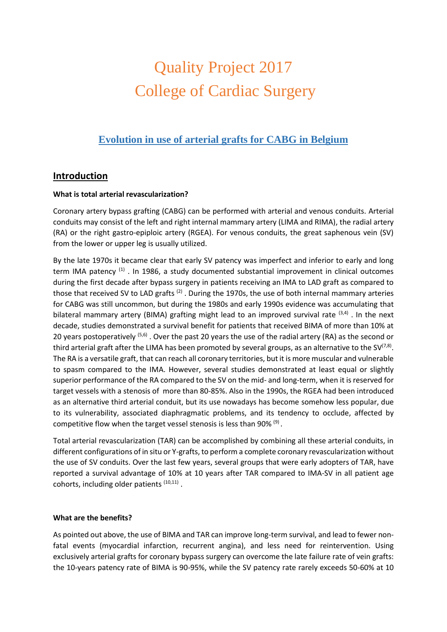# Quality Project 2017 College of Cardiac Surgery

## **Evolution in use of arterial grafts for CABG in Belgium**

## **Introduction**

#### **What is total arterial revascularization?**

Coronary artery bypass grafting (CABG) can be performed with arterial and venous conduits. Arterial conduits may consist of the left and right internal mammary artery (LIMA and RIMA), the radial artery (RA) or the right gastro-epiploic artery (RGEA). For venous conduits, the great saphenous vein (SV) from the lower or upper leg is usually utilized.

By the late 1970s it became clear that early SV patency was imperfect and inferior to early and long term IMA patency <sup>(1)</sup>. In 1986, a study documented substantial improvement in clinical outcomes during the first decade after bypass surgery in patients receiving an IMA to LAD graft as compared to those that received SV to LAD grafts <sup>(2)</sup> . During the 1970s, the use of both internal mammary arteries for CABG was still uncommon, but during the 1980s and early 1990s evidence was accumulating that bilateral mammary artery (BIMA) grafting might lead to an improved survival rate <sup>(3,4)</sup>. In the next decade, studies demonstrated a survival benefit for patients that received BIMA of more than 10% at 20 years postoperatively <sup>(5,6)</sup>. Over the past 20 years the use of the radial artery (RA) as the second or third arterial graft after the LIMA has been promoted by several groups, as an alternative to the SV<sup>(7,8)</sup>. The RA is a versatile graft, that can reach all coronary territories, but it is more muscular and vulnerable to spasm compared to the IMA. However, several studies demonstrated at least equal or slightly superior performance of the RA compared to the SV on the mid- and long-term, when it is reserved for target vessels with a stenosis of more than 80-85%. Also in the 1990s, the RGEA had been introduced as an alternative third arterial conduit, but its use nowadays has become somehow less popular, due to its vulnerability, associated diaphragmatic problems, and its tendency to occlude, affected by competitive flow when the target vessel stenosis is less than 90%  $(9)$ .

Total arterial revascularization (TAR) can be accomplished by combining all these arterial conduits, in different configurations of in situ or Y-grafts, to perform a complete coronary revascularization without the use of SV conduits. Over the last few years, several groups that were early adopters of TAR, have reported a survival advantage of 10% at 10 years after TAR compared to IMA-SV in all patient age cohorts, including older patients (10,11).

#### **What are the benefits?**

As pointed out above, the use of BIMA and TAR can improve long-term survival, and lead to fewer nonfatal events (myocardial infarction, recurrent angina), and less need for reintervention. Using exclusively arterial grafts for coronary bypass surgery can overcome the late failure rate of vein grafts: the 10-years patency rate of BIMA is 90-95%, while the SV patency rate rarely exceeds 50-60% at 10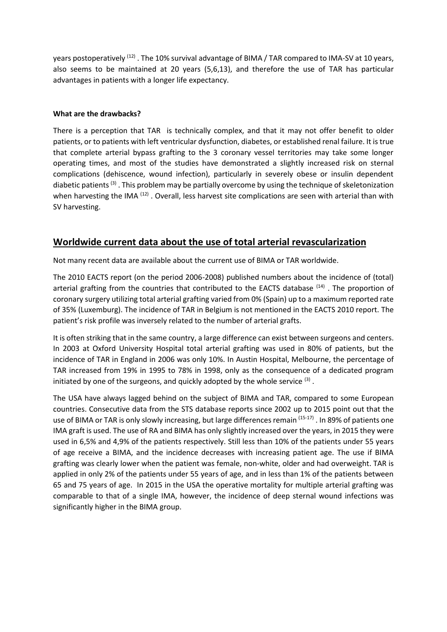years postoperatively <sup>(12)</sup> . The 10% survival advantage of BIMA / TAR compared to IMA-SV at 10 years, also seems to be maintained at 20 years (5,6,13), and therefore the use of TAR has particular advantages in patients with a longer life expectancy.

#### **What are the drawbacks?**

There is a perception that TAR is technically complex, and that it may not offer benefit to older patients, or to patients with left ventricular dysfunction, diabetes, or established renal failure. It is true that complete arterial bypass grafting to the 3 coronary vessel territories may take some longer operating times, and most of the studies have demonstrated a slightly increased risk on sternal complications (dehiscence, wound infection), particularly in severely obese or insulin dependent diabetic patients<sup>(3)</sup>. This problem may be partially overcome by using the technique of skeletonization when harvesting the IMA <sup>(12)</sup>. Overall, less harvest site complications are seen with arterial than with SV harvesting.

## **Worldwide current data about the use of total arterial revascularization**

Not many recent data are available about the current use of BIMA or TAR worldwide.

The 2010 EACTS report (on the period 2006-2008) published numbers about the incidence of (total) arterial grafting from the countries that contributed to the EACTS database <sup>(14)</sup>. The proportion of coronary surgery utilizing total arterial grafting varied from 0% (Spain) up to a maximum reported rate of 35% (Luxemburg). The incidence of TAR in Belgium is not mentioned in the EACTS 2010 report. The patient's risk profile was inversely related to the number of arterial grafts.

It is often striking that in the same country, a large difference can exist between surgeons and centers. In 2003 at Oxford University Hospital total arterial grafting was used in 80% of patients, but the incidence of TAR in England in 2006 was only 10%. In Austin Hospital, Melbourne, the percentage of TAR increased from 19% in 1995 to 78% in 1998, only as the consequence of a dedicated program initiated by one of the surgeons, and quickly adopted by the whole service  $^{(3)}$  .

The USA have always lagged behind on the subject of BIMA and TAR, compared to some European countries. Consecutive data from the STS database reports since 2002 up to 2015 point out that the use of BIMA or TAR is only slowly increasing, but large differences remain <sup>(15-17)</sup>. In 89% of patients one IMA graft is used. The use of RA and BIMA has only slightly increased over the years, in 2015 they were used in 6,5% and 4,9% of the patients respectively. Still less than 10% of the patients under 55 years of age receive a BIMA, and the incidence decreases with increasing patient age. The use if BIMA grafting was clearly lower when the patient was female, non-white, older and had overweight. TAR is applied in only 2% of the patients under 55 years of age, and in less than 1% of the patients between 65 and 75 years of age. In 2015 in the USA the operative mortality for multiple arterial grafting was comparable to that of a single IMA, however, the incidence of deep sternal wound infections was significantly higher in the BIMA group.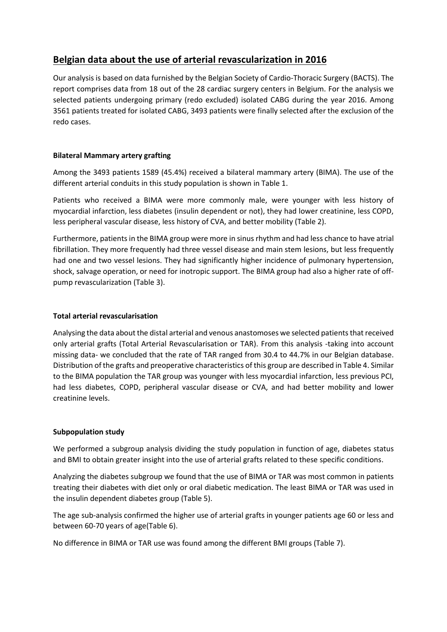## **Belgian data about the use of arterial revascularization in 2016**

Our analysis is based on data furnished by the Belgian Society of Cardio-Thoracic Surgery (BACTS). The report comprises data from 18 out of the 28 cardiac surgery centers in Belgium. For the analysis we selected patients undergoing primary (redo excluded) isolated CABG during the year 2016. Among 3561 patients treated for isolated CABG, 3493 patients were finally selected after the exclusion of the redo cases.

#### **Bilateral Mammary artery grafting**

Among the 3493 patients 1589 (45.4%) received a bilateral mammary artery (BIMA). The use of the different arterial conduits in this study population is shown in Table 1.

Patients who received a BIMA were more commonly male, were younger with less history of myocardial infarction, less diabetes (insulin dependent or not), they had lower creatinine, less COPD, less peripheral vascular disease, less history of CVA, and better mobility (Table 2).

Furthermore, patients in the BIMA group were more in sinus rhythm and had less chance to have atrial fibrillation. They more frequently had three vessel disease and main stem lesions, but less frequently had one and two vessel lesions. They had significantly higher incidence of pulmonary hypertension, shock, salvage operation, or need for inotropic support. The BIMA group had also a higher rate of offpump revascularization (Table 3).

#### **Total arterial revascularisation**

Analysing the data about the distal arterial and venous anastomoses we selected patients that received only arterial grafts (Total Arterial Revascularisation or TAR). From this analysis -taking into account missing data- we concluded that the rate of TAR ranged from 30.4 to 44.7% in our Belgian database. Distribution of the grafts and preoperative characteristics of this group are described in Table 4. Similar to the BIMA population the TAR group was younger with less myocardial infarction, less previous PCI, had less diabetes, COPD, peripheral vascular disease or CVA, and had better mobility and lower creatinine levels.

#### **Subpopulation study**

We performed a subgroup analysis dividing the study population in function of age, diabetes status and BMI to obtain greater insight into the use of arterial grafts related to these specific conditions.

Analyzing the diabetes subgroup we found that the use of BIMA or TAR was most common in patients treating their diabetes with diet only or oral diabetic medication. The least BIMA or TAR was used in the insulin dependent diabetes group (Table 5).

The age sub-analysis confirmed the higher use of arterial grafts in younger patients age 60 or less and between 60-70 years of age(Table 6).

No difference in BIMA or TAR use was found among the different BMI groups (Table 7).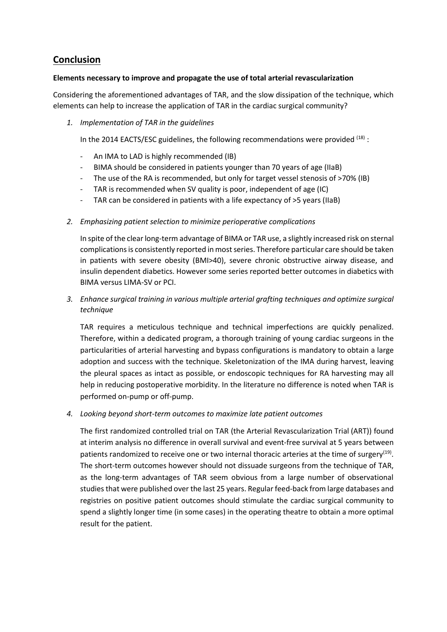## **Conclusion**

#### **Elements necessary to improve and propagate the use of total arterial revascularization**

Considering the aforementioned advantages of TAR, and the slow dissipation of the technique, which elements can help to increase the application of TAR in the cardiac surgical community?

*1. Implementation of TAR in the guidelines*

In the 2014 EACTS/ESC guidelines, the following recommendations were provided  $^{(18)}$  :

- An IMA to LAD is highly recommended (IB)
- BIMA should be considered in patients younger than 70 years of age (IIaB)
- The use of the RA is recommended, but only for target vessel stenosis of >70% (IB)
- TAR is recommended when SV quality is poor, independent of age (IC)
- TAR can be considered in patients with a life expectancy of  $>5$  years (IIaB)

#### *2. Emphasizing patient selection to minimize perioperative complications*

In spite of the clear long-term advantage of BIMA or TAR use, a slightly increased risk on sternal complications is consistently reported in most series. Therefore particular care should be taken in patients with severe obesity (BMI>40), severe chronic obstructive airway disease, and insulin dependent diabetics. However some series reported better outcomes in diabetics with BIMA versus LIMA-SV or PCI.

*3. Enhance surgical training in various multiple arterial grafting techniques and optimize surgical technique*

TAR requires a meticulous technique and technical imperfections are quickly penalized. Therefore, within a dedicated program, a thorough training of young cardiac surgeons in the particularities of arterial harvesting and bypass configurations is mandatory to obtain a large adoption and success with the technique. Skeletonization of the IMA during harvest, leaving the pleural spaces as intact as possible, or endoscopic techniques for RA harvesting may all help in reducing postoperative morbidity. In the literature no difference is noted when TAR is performed on-pump or off-pump.

#### *4. Looking beyond short-term outcomes to maximize late patient outcomes*

The first randomized controlled trial on TAR (the Arterial Revascularization Trial (ART)) found at interim analysis no difference in overall survival and event-free survival at 5 years between patients randomized to receive one or two internal thoracic arteries at the time of surgery<sup>(19)</sup>. The short-term outcomes however should not dissuade surgeons from the technique of TAR, as the long-term advantages of TAR seem obvious from a large number of observational studies that were published over the last 25 years. Regular feed-back from large databases and registries on positive patient outcomes should stimulate the cardiac surgical community to spend a slightly longer time (in some cases) in the operating theatre to obtain a more optimal result for the patient.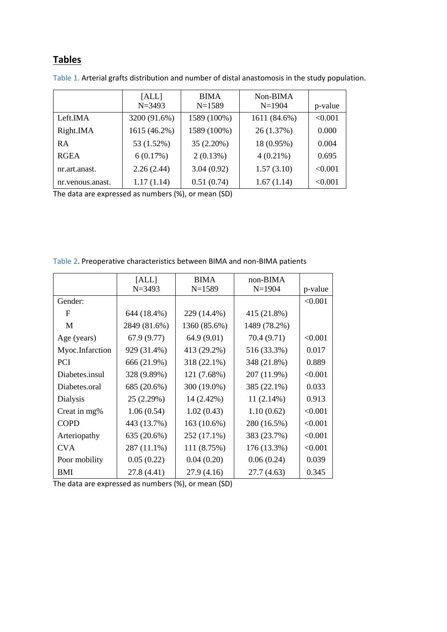# **Tables**

|                    | [ALL]<br>$N = 3493$ | <b>BIMA</b><br>$N = 1589$ | Non-BIMA<br>$N=1904$ | p-value |
|--------------------|---------------------|---------------------------|----------------------|---------|
| Left.IMA           | 3200 (91.6%)        | 1589 (100%)               | 1611 (84.6%)         | < 0.001 |
| Right.IMA          | 1615 (46.2%)        | 1589 (100%)               | 26(1.37%)            | 0.000   |
| <b>RA</b>          | 53 (1.52%)          | 35 (2.20%)                | 18 (0.95%)           | 0.004   |
| <b>RGEA</b>        | 6(0.17%)            | 2(0.13%)                  | $4(0.21\%)$          | 0.695   |
| nr.art.anast.      | 2.26(2.44)          | 3.04(0.92)                | 1.57(3.10)           | < 0.001 |
| nr. venous. anast. | 1.17(1.14)          | 0.51(0.74)                | 1.67(1.14)           | < 0.001 |

Table 1. Arterial grafts distribution and number of distal anastomosis in the study population.

The data are expressed as numbers (%), or mean (SD)

|                 | [ALL]        | <b>BIMA</b>  | $non-BIMA$   |         |
|-----------------|--------------|--------------|--------------|---------|
|                 | $N = 3493$   | $N = 1589$   | $N = 1904$   | p-value |
| Gender:         |              |              |              | < 0.001 |
| F               | 644 (18.4%)  | 229 (14.4%)  | 415 (21.8%)  |         |
| M               | 2849 (81.6%) | 1360 (85.6%) | 1489 (78.2%) |         |
| Age (years)     | 67.9 (9.77)  | 64.9 (9.01)  | 70.4 (9.71)  | < 0.001 |
| Myoc.Infarction | 929 (31.4%)  | 413 (29.2%)  | 516 (33.3%)  | 0.017   |
| <b>PCI</b>      | 666 (21.9%)  | 318 (22.1%)  | 348 (21.8%)  | 0.889   |
| Diabetes.insul  | 328 (9.89%)  | 121 (7.68%)  | 207 (11.9%)  | < 0.001 |
| Diabetes.oral   | 685 (20.6%)  | 300 (19.0%)  | 385 (22.1%)  | 0.033   |
| Dialysis        | 25 (2.29%)   | 14 (2.42%)   | 11(2.14%)    | 0.913   |
| Creat in mg%    | 1.06(0.54)   | 1.02(0.43)   | 1.10(0.62)   | < 0.001 |
| <b>COPD</b>     | 443 (13.7%)  | 163 (10.6%)  | 280 (16.5%)  | < 0.001 |
| Arteriopathy    | 635 (20.6%)  | 252 (17.1%)  | 383 (23.7%)  | < 0.001 |
| <b>CVA</b>      | 287 (11.1%)  | 111 (8.75%)  | 176 (13.3%)  | < 0.001 |
| Poor mobility   | 0.05(0.22)   | 0.04(0.20)   | 0.06(0.24)   | 0.039   |
| <b>BMI</b>      | 27.8 (4.41)  | 27.9(4.16)   | 27.7(4.63)   | 0.345   |

Table 2. Preoperative characteristics between BIMA and non-BIMA patients

The data are expressed as numbers (%), or mean (SD)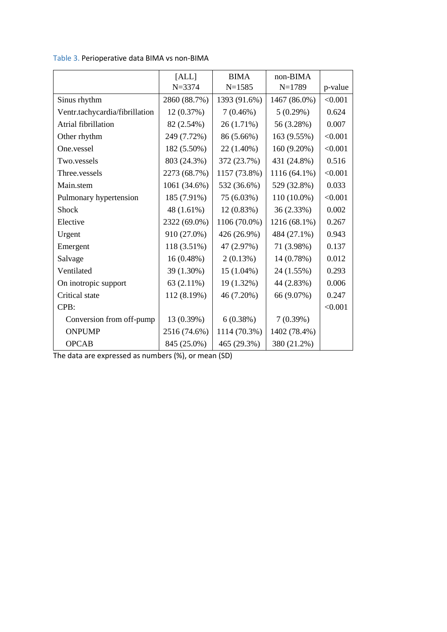|                                | [ALL]        | <b>BIMA</b>  | non-BIMA     |         |
|--------------------------------|--------------|--------------|--------------|---------|
|                                | $N = 3374$   | $N = 1585$   | $N=1789$     | p-value |
| Sinus rhythm                   | 2860 (88.7%) | 1393 (91.6%) | 1467 (86.0%) | < 0.001 |
| Ventr.tachycardia/fibrillation | 12 (0.37%)   | 7(0.46%)     | 5(0.29%)     | 0.624   |
| Atrial fibrillation            | 82 (2.54%)   | 26 (1.71%)   | 56 (3.28%)   | 0.007   |
| Other rhythm                   | 249 (7.72%)  | 86 (5.66%)   | 163 (9.55%)  | < 0.001 |
| One.vessel                     | 182 (5.50%)  | 22 (1.40%)   | 160 (9.20%)  | < 0.001 |
| Two.vessels                    | 803 (24.3%)  | 372 (23.7%)  | 431 (24.8%)  | 0.516   |
| Three.vessels                  | 2273 (68.7%) | 1157 (73.8%) | 1116 (64.1%) | < 0.001 |
| Main.stem                      | 1061 (34.6%) | 532 (36.6%)  | 529 (32.8%)  | 0.033   |
| Pulmonary hypertension         | 185 (7.91%)  | 75 (6.03%)   | 110 (10.0%)  | < 0.001 |
| Shock                          | 48 (1.61%)   | 12(0.83%)    | 36 (2.33%)   | 0.002   |
| Elective                       | 2322 (69.0%) | 1106 (70.0%) | 1216 (68.1%) | 0.267   |
| Urgent                         | 910 (27.0%)  | 426 (26.9%)  | 484 (27.1%)  | 0.943   |
| Emergent                       | 118 (3.51%)  | 47 (2.97%)   | 71 (3.98%)   | 0.137   |
| Salvage                        | 16(0.48%)    | 2(0.13%)     | 14 (0.78%)   | 0.012   |
| Ventilated                     | 39 (1.30%)   | $15(1.04\%)$ | 24 (1.55%)   | 0.293   |
| On inotropic support           | 63 (2.11%)   | 19 (1.32%)   | 44 (2.83%)   | 0.006   |
| Critical state                 | 112 (8.19%)  | 46 (7.20%)   | 66 (9.07%)   | 0.247   |
| CPB:                           |              |              |              | < 0.001 |
| Conversion from off-pump       | 13 (0.39%)   | 6(0.38%)     | 7(0.39%)     |         |
| <b>ONPUMP</b>                  | 2516 (74.6%) | 1114 (70.3%) | 1402 (78.4%) |         |
| <b>OPCAB</b>                   | 845 (25.0%)  | 465 (29.3%)  | 380 (21.2%)  |         |

Table 3. Perioperative data BIMA vs non-BIMA

The data are expressed as numbers (%), or mean (SD)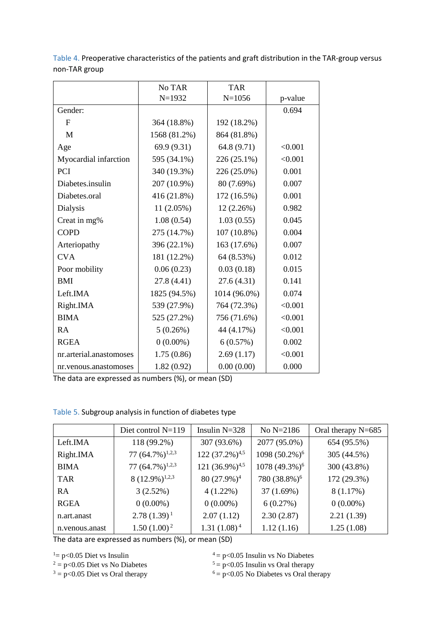|                         | No TAR       | <b>TAR</b>   |         |
|-------------------------|--------------|--------------|---------|
|                         | $N=1932$     | $N = 1056$   | p-value |
| Gender:                 |              |              | 0.694   |
| F                       | 364 (18.8%)  | 192 (18.2%)  |         |
| M                       | 1568 (81.2%) | 864 (81.8%)  |         |
| Age                     | 69.9 (9.31)  | 64.8 (9.71)  | < 0.001 |
| Myocardial infarction   | 595 (34.1%)  | 226 (25.1%)  | < 0.001 |
| PCI                     | 340 (19.3%)  | 226 (25.0%)  | 0.001   |
| Diabetes.insulin        | 207 (10.9%)  | 80 (7.69%)   | 0.007   |
| Diabetes.oral           | 416 (21.8%)  | 172 (16.5%)  | 0.001   |
| <b>Dialysis</b>         | 11 (2.05%)   | 12 (2.26%)   | 0.982   |
| Creat in mg%            | 1.08(0.54)   | 1.03(0.55)   | 0.045   |
| <b>COPD</b>             | 275 (14.7%)  | 107 (10.8%)  | 0.004   |
| Arteriopathy            | 396 (22.1%)  | 163 (17.6%)  | 0.007   |
| <b>CVA</b>              | 181 (12.2%)  | 64 (8.53%)   | 0.012   |
| Poor mobility           | 0.06(0.23)   | 0.03(0.18)   | 0.015   |
| <b>BMI</b>              | 27.8 (4.41)  | 27.6(4.31)   | 0.141   |
| Left.IMA                | 1825 (94.5%) | 1014 (96.0%) | 0.074   |
| Right.IMA               | 539 (27.9%)  | 764 (72.3%)  | < 0.001 |
| <b>BIMA</b>             | 525 (27.2%)  | 756 (71.6%)  | < 0.001 |
| RA                      | 5(0.26%)     | 44 (4.17%)   | < 0.001 |
| <b>RGEA</b>             | $0(0.00\%)$  | 6(0.57%)     | 0.002   |
| nr.arterial.anastomoses | 1.75(0.86)   | 2.69(1.17)   | < 0.001 |
| nr. venous. anastomoses | 1.82(0.92)   | 0.00(0.00)   | 0.000   |

Table 4. Preoperative characteristics of the patients and graft distribution in the TAR-group versus non-TAR group

The data are expressed as numbers (%), or mean (SD)

| Table 5. Subgroup analysis in function of diabetes type |  |
|---------------------------------------------------------|--|
|---------------------------------------------------------|--|

|                 | Diet control $N=119$  | Insulin $N=328$               | No N=2186                 | Oral therapy $N=685$ |
|-----------------|-----------------------|-------------------------------|---------------------------|----------------------|
| Left.IMA        | 118 (99.2%)           | 307 (93.6%)                   | 2077 (95.0%)              | 654 (95.5%)          |
| Right.IMA       | 77 $(64.7\%)^{1,2,3}$ | 122 $(37.2\%)$ <sup>4,5</sup> | 1098 (50.2%) <sup>6</sup> | 305 (44.5%)          |
| <b>BIMA</b>     | 77 $(64.7\%)^{1,2,3}$ | 121 $(36.9\%)^{4,5}$          | 1078 (49.3%) <sup>6</sup> | 300 (43.8%)          |
| <b>TAR</b>      | $8(12.9\%)^{1,2,3}$   | 80 (27.9%) <sup>4</sup>       | 780 (38.8%) <sup>6</sup>  | 172 (29.3%)          |
| <b>RA</b>       | 3(2.52%)              | $4(1.22\%)$                   | 37(1.69%)                 | 8(1.17%)             |
| <b>RGEA</b>     | $0(0.00\%)$           | $0(0.00\%)$                   | 6(0.27%)                  | $0(0.00\%)$          |
| n.art.anast     | $2.78(1.39)^1$        | 2.07(1.12)                    | 2.30(2.87)                | 2.21(1.39)           |
| n. venous and a | $1.50(1.00)^2$        | $1.31(1.08)^4$                | 1.12(1.16)                | 1.25(1.08)           |

The data are expressed as numbers (%), or mean (SD)

 $3 = p < 0.05$  Diet vs Oral therapy

<sup>1</sup>= p<0.05 Diet vs Insulin  $A = p$ <0.05 Insulin vs No Diabetes<br>
<sup>2</sup> = p<0.05 Diet vs No Diabetes<br>
<sup>5</sup> = p<0.05 Insulin vs Oral therapy

 $5 = p<0.05$  Insulin vs Oral therapy

 $6 = p < 0.05$  No Diabetes vs Oral therapy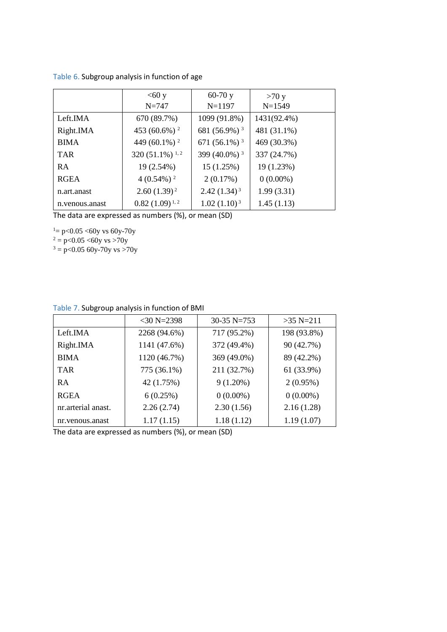|  |  |  | Table 6. Subgroup analysis in function of age |  |
|--|--|--|-----------------------------------------------|--|
|--|--|--|-----------------------------------------------|--|

|                 | $<60$ y                       | $60-70y$                    | >70 y       |
|-----------------|-------------------------------|-----------------------------|-------------|
|                 | $N = 747$                     | $N = 1197$                  | $N = 1549$  |
| Left.IMA        | 670 (89.7%)                   | 1099 (91.8%)                | 1431(92.4%) |
| Right.IMA       | 453 (60.6%) <sup>2</sup>      | 681 (56.9%) <sup>3</sup>    | 481 (31.1%) |
| <b>BIMA</b>     | 449 (60.1%) <sup>2</sup>      | 671 $(56.1\%)$ <sup>3</sup> | 469 (30.3%) |
| <b>TAR</b>      | 320 $(51.1\%)$ <sup>1,2</sup> | 399 (40.0%) <sup>3</sup>    | 337 (24.7%) |
| <b>RA</b>       | 19 (2.54%)                    | 15(1.25%)                   | 19 (1.23%)  |
| <b>RGEA</b>     | $4(0.54\%)$ <sup>2</sup>      | 2(0.17%)                    | $0(0.00\%)$ |
| n.art.anast     | $2.60(1.39)^2$                | $2.42(1.34)^3$              | 1.99(3.31)  |
| n. venous and a | $0.82(1.09)^{1,2}$            | $1.02(1.10)^{3}$            | 1.45(1.13)  |

The data are expressed as numbers (%), or mean (SD)

 $=$  p<0.05 <60y vs 60y-70y

 $^2 = p < 0.05$  <60y vs >70y

 $3 = p < 0.05$  60y-70y vs >70y

|                     | $<$ 30 N=2398 | 30-35 N=753 | $>35$ N=211 |
|---------------------|---------------|-------------|-------------|
| Left.IMA            | 2268 (94.6%)  | 717 (95.2%) | 198 (93.8%) |
| Right.IMA           | 1141 (47.6%)  | 372 (49.4%) | 90 (42.7%)  |
| <b>BIMA</b>         | 1120 (46.7%)  | 369 (49.0%) | 89 (42.2%)  |
| <b>TAR</b>          | 775 (36.1%)   | 211 (32.7%) | 61 (33.9%)  |
| <b>RA</b>           | 42 (1.75%)    | $9(1.20\%)$ | 2(0.95%)    |
| <b>RGEA</b>         | 6(0.25%)      | $0(0.00\%)$ | $0(0.00\%)$ |
| nr. arterial anast. | 2.26(2.74)    | 2.30(1.56)  | 2.16(1.28)  |
| nr. venous and a    | 1.17(1.15)    | 1.18(1.12)  | 1.19(1.07)  |

The data are expressed as numbers (%), or mean (SD)